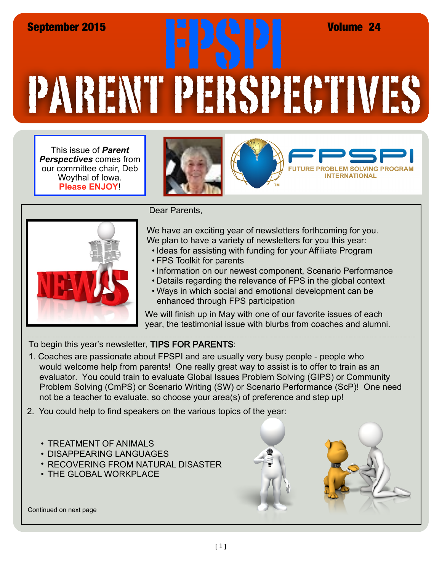## PARENT PERSPECTIVES September 2015<br>
EPSPI Volume 24<br>
EPSPI Volume 24<br>
EPSPI Volume 24<br>
FPSPI Volume 24

This issue of *Parent Perspectives* comes from our committee chair, Deb Woythal of Iowa. **Please ENJOY**!





Dear Parents,

We have an exciting year of newsletters forthcoming for you. We plan to have a variety of newsletters for you this year:

- Ideas for assisting with funding for your Affiliate Program
- FPS Toolkit for parents
- Information on our newest component, Scenario Performance
- Details regarding the relevance of FPS in the global context
- Ways in which social and emotional development can be enhanced through FPS participation

We will finish up in May with one of our favorite issues of each year, the testimonial issue with blurbs from coaches and alumni.

To begin this year's newsletter, TIPS FOR PARENTS:

1. Coaches are passionate about FPSPI and are usually very busy people - people who would welcome help from parents! One really great way to assist is to offer to train as an evaluator. You could train to evaluate Global Issues Problem Solving (GIPS) or Community Problem Solving (CmPS) or Scenario Writing (SW) or Scenario Performance (ScP)! One need not be a teacher to evaluate, so choose your area(s) of preference and step up!

2. You could help to find speakers on the various topics of the year:

- TREATMENT OF ANIMALS
- DISAPPEARING LANGUAGES
- RECOVERING FROM NATURAL DISASTER
- THE GLOBAL WORKPLACE



Continued on next page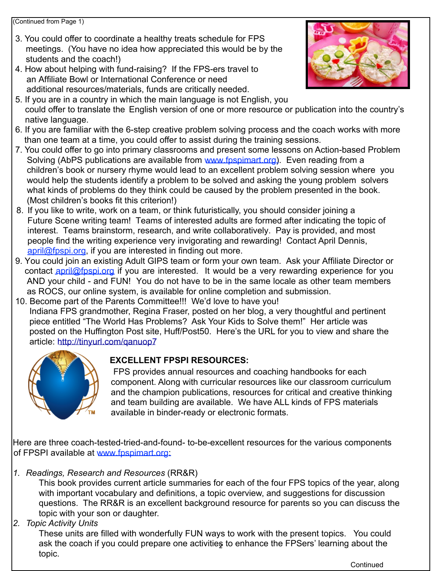(Continued from Page 1)

- 3. You could offer to coordinate a healthy treats schedule for FPS meetings. (You have no idea how appreciated this would be by the students and the coach!)
- 4. How about helping with fund-raising? If the FPS-ers travel to an Affiliate Bowl or International Conference or need additional resources/materials, funds are critically needed.



- 5. If you are in a country in which the main language is not English, you could offer to translate the English version of one or more resource or publication into the country's native language.
- 6. If you are familiar with the 6-step creative problem solving process and the coach works with more than one team at a time, you could offer to assist during the training sessions.
- 7. You could offer to go into primary classrooms and present some lessons on Action-based Problem Solving (AbPS publications are available from [www.fpspimart.org\)](http://www.fpspimart.org). Even reading from a children's book or nursery rhyme would lead to an excellent problem solving session where you would help the students identify a problem to be solved and asking the young problem solvers what kinds of problems do they think could be caused by the problem presented in the book. (Most children's books fit this criterion!)
- 8. If you like to write, work on a team, or think futuristically, you should consider joining a Future Scene writing team! Teams of interested adults are formed after indicating the topic of interest. Teams brainstorm, research, and write collaboratively. Pay is provided, and most people find the writing experience very invigorating and rewarding! Contact April Dennis, [april@fpspi.org](mailto:april@fpspi.org), if you are interested in finding out more.
- 9. You could join an existing Adult GIPS team or form your own team. Ask your Affiliate Director or contact [april@fpspi.org](mailto:april@fpspi.org) if you are interested. It would be a very rewarding experience for you AND your child - and FUN! You do not have to be in the same locale as other team members as ROCS, our online system, is available for online completion and submission.
- 10. Become part of the Parents Committee!!! We'd love to have you! Indiana FPS grandmother, Regina Fraser, posted on her blog, a very thoughtful and pertinent piece entitled "The World Has Problems? Ask Your Kids to Solve them!" Her article was posted on the Huffington Post site, Huff/Post50. Here's the URL for you to view and share the article: <http://tinyurl.com/qanuop7>



## **EXCELLENT FPSPI RESOURCES:**

 FPS provides annual resources and coaching handbooks for each component. Along with curricular resources like our classroom curriculum and the champion publications, resources for critical and creative thinking and team building are available. We have ALL kinds of FPS materials available in binder-ready or electronic formats.

Here are three coach-tested-tried-and-found- to-be-excellent resources for the various components of FPSPI available at www.fpspi[mart.org:](http://www.fpspimart.org)

*1. Readings, Research and Resources* (RR&R)

This book provides current article summaries for each of the four FPS topics of the year, along with important vocabulary and definitions, a topic overview, and suggestions for discussion questions. The RR&R is an excellent background resource for parents so you can discuss the topic with your son or daughter.

## *2. Topic Activity Units*

ask the coach if you could prepare one activities to enhance the FPSers' learning about the These units are filled with wonderfully FUN ways to work with the present topics. You could topic.

**Continued**